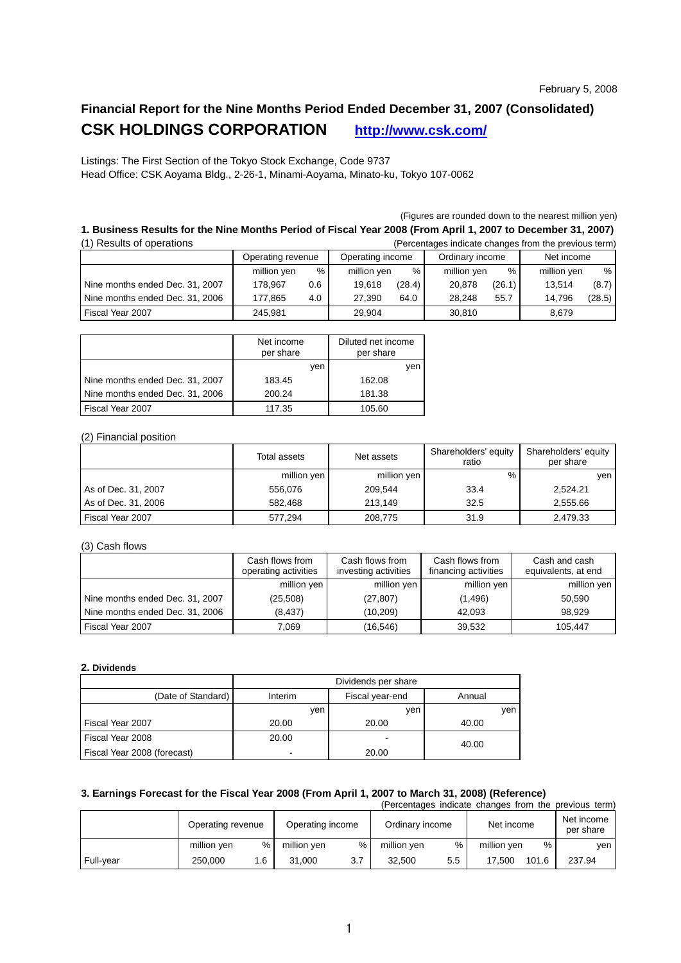### February 5, 2008

### **Financial Report for the Nine Months Period Ended December 31, 2007 (Consolidated) CSK HOLDINGS CORPORATION http://www.csk.com/**

Listings: The First Section of the Tokyo Stock Exchange, Code 9737 Head Office: CSK Aoyama Bldg., 2-26-1, Minami-Aoyama, Minato-ku, Tokyo 107-0062

(Figures are rounded down to the nearest million yen)

### **1. Business Results for the Nine Months Period of Fiscal Year 2008 (From April 1, 2007 to December 31, 2007)**  (1) Results of operations (Percentages indicate changes from the previous term)

|                                 | Operating revenue |     | Operating income |        | Ordinary income |        | Net income  |        |  |  |
|---------------------------------|-------------------|-----|------------------|--------|-----------------|--------|-------------|--------|--|--|
|                                 | million yen       | %   | million yen      | %      | million yen     | %      | million yen | %      |  |  |
| Nine months ended Dec. 31, 2007 | 178.967           | 0.6 | 19.618           | (28.4) | 20.878          | (26.1) | 13.514      | (8.7)  |  |  |
| Nine months ended Dec. 31, 2006 | 177.865           | 4.0 | 27.390           | 64.0   | 28.248          | 55.7   | 14.796      | (28.5) |  |  |
| Fiscal Year 2007                | 245.981           |     | 29.904           |        | 30.810          |        | 8.679       |        |  |  |

|                                 | Net income<br>per share | Diluted net income<br>per share |
|---------------------------------|-------------------------|---------------------------------|
|                                 | ven                     | yen                             |
| Nine months ended Dec. 31, 2007 | 183.45                  | 162.08                          |
| Nine months ended Dec. 31, 2006 | 200.24                  | 181.38                          |
| Fiscal Year 2007                | 117.35                  | 105.60                          |

### (2) Financial position

|                     | Total assets | Net assets  | Shareholders' equity<br>ratio | Shareholders' equity<br>per share |
|---------------------|--------------|-------------|-------------------------------|-----------------------------------|
|                     | million yen  | million yen | %                             | ven                               |
| As of Dec. 31, 2007 | 556.076      | 209.544     | 33.4                          | 2.524.21                          |
| As of Dec. 31, 2006 | 582.468      | 213.149     | 32.5                          | 2.555.66                          |
| Fiscal Year 2007    | 577,294      | 208,775     | 31.9                          | 2,479.33                          |

#### (3) Cash flows

|                                 | Cash flows from<br>operating activities | Cash flows from<br>investing activities | Cash flows from<br>financing activities | Cash and cash<br>equivalents, at end |
|---------------------------------|-----------------------------------------|-----------------------------------------|-----------------------------------------|--------------------------------------|
|                                 | million yen                             | million yen                             | million yen                             | million yen                          |
| Nine months ended Dec. 31, 2007 | (25, 508)                               | (27, 807)                               | (1,496)                                 | 50.590                               |
| Nine months ended Dec. 31, 2006 | (8, 437)                                | (10, 209)                               | 42.093                                  | 98,929                               |
| Fiscal Year 2007                | 7.069                                   | (16, 546)                               | 39,532                                  | 105.447                              |

### **2. Dividends**

|                             |         | Dividends per share |        |  |  |  |  |  |  |  |  |
|-----------------------------|---------|---------------------|--------|--|--|--|--|--|--|--|--|
| (Date of Standard)          | Interim | Fiscal year-end     | Annual |  |  |  |  |  |  |  |  |
|                             | ven     | yen                 | ven    |  |  |  |  |  |  |  |  |
| Fiscal Year 2007            | 20.00   | 20.00               | 40.00  |  |  |  |  |  |  |  |  |
| Fiscal Year 2008            | 20.00   | -                   | 40.00  |  |  |  |  |  |  |  |  |
| Fiscal Year 2008 (forecast) |         | 20.00               |        |  |  |  |  |  |  |  |  |

#### **3. Earnings Forecast for the Fiscal Year 2008 (From April 1, 2007 to March 31, 2008) (Reference)**  (Percentages indicate changes from the previous term)

|           |                   |     |                  |     |                 |     |             |                         | creditages indicate changes from the previous term |
|-----------|-------------------|-----|------------------|-----|-----------------|-----|-------------|-------------------------|----------------------------------------------------|
|           | Operating revenue |     | Operating income |     | Ordinary income |     | Net income  | Net income<br>per share |                                                    |
|           | million yen       | %   | million ven      | %   | million yen     | %   | million ven | %                       | ven                                                |
| Full-year | 250.000           | 1.6 | 31.000           | 3.7 | 32.500          | 5.5 | 17.500      | 101.6                   | 237.94                                             |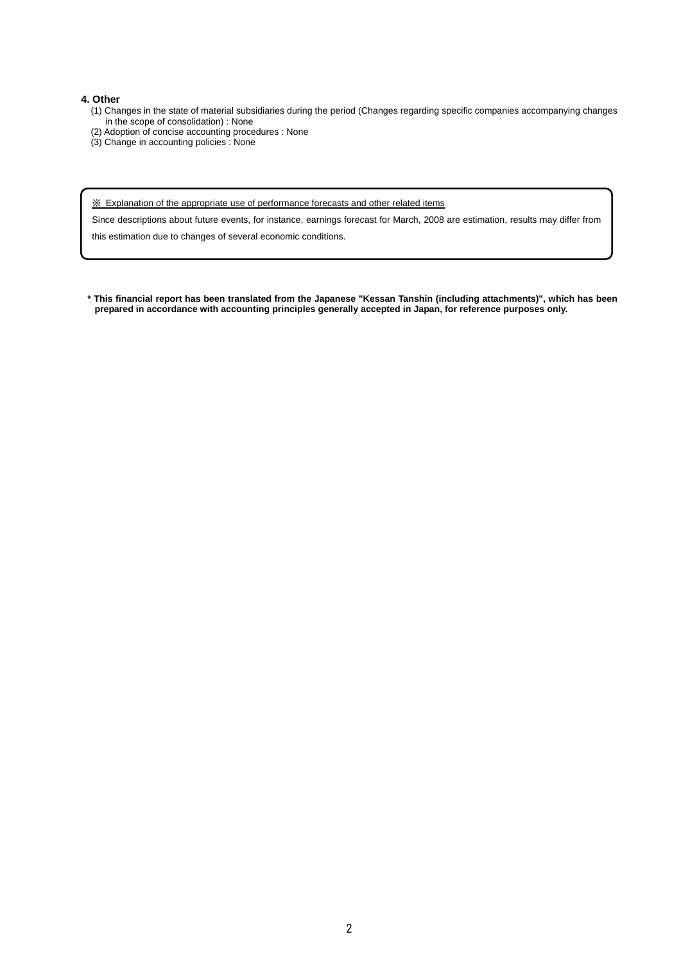#### **4. Other**

- (1) Changes in the state of material subsidiaries during the period (Changes regarding specific companies accompanying changes in the scope of consolidation) : None
- (2) Adoption of concise accounting procedures : None
- (3) Change in accounting policies : None

※ Explanation of the appropriate use of performance forecasts and other related items

Since descriptions about future events, for instance, earnings forecast for March, 2008 are estimation, results may differ from

this estimation due to changes of several economic conditions.

**\* This financial report has been translated from the Japanese "Kessan Tanshin (including attachments)", which has been prepared in accordance with accounting principles generally accepted in Japan, for reference purposes only.**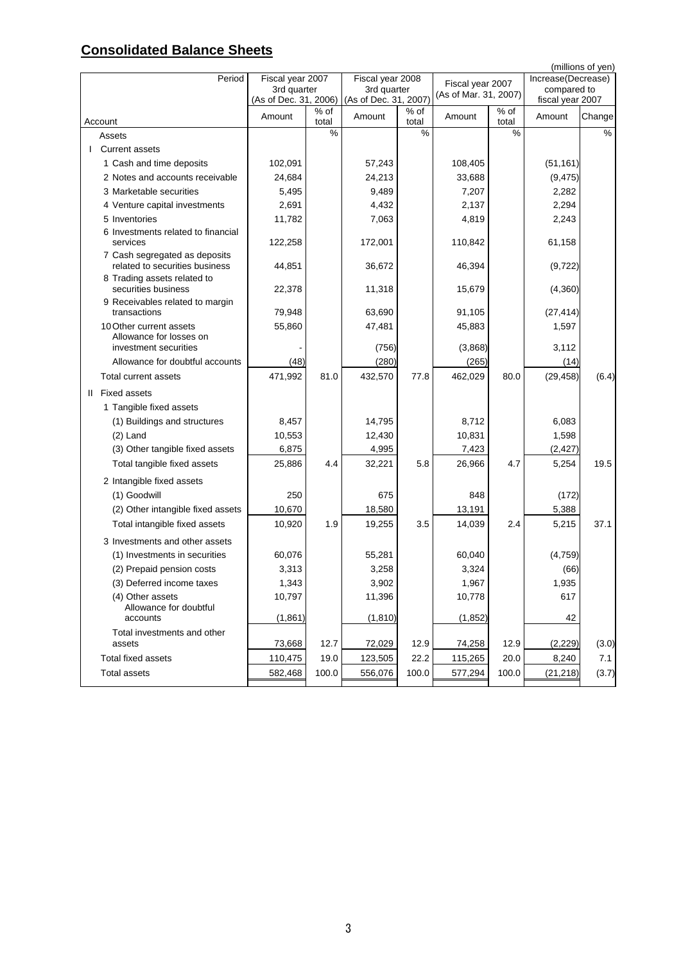# **Consolidated Balance Sheets**

| Period                                                                      | Fiscal year 2007<br>Fiscal year 2008 |               |                       |               |                                           |               |                                   |               |  |
|-----------------------------------------------------------------------------|--------------------------------------|---------------|-----------------------|---------------|-------------------------------------------|---------------|-----------------------------------|---------------|--|
|                                                                             | 3rd quarter                          |               | 3rd quarter           |               | Fiscal year 2007<br>(As of Mar. 31, 2007) |               | Increase(Decrease)<br>compared to |               |  |
|                                                                             | (As of Dec. 31, 2006)                |               | (As of Dec. 31, 2007) |               |                                           |               | fiscal year 2007                  |               |  |
| Account                                                                     | Amount                               | % of<br>total | Amount                | % of<br>total | Amount                                    | % of<br>total | Amount                            | Change        |  |
| Assets                                                                      |                                      | $\frac{0}{0}$ |                       | %             |                                           | $\frac{0}{0}$ |                                   | $\frac{9}{6}$ |  |
| <b>Current assets</b>                                                       |                                      |               |                       |               |                                           |               |                                   |               |  |
| 1 Cash and time deposits                                                    | 102,091                              |               | 57,243                |               | 108,405                                   |               | (51, 161)                         |               |  |
| 2 Notes and accounts receivable                                             | 24,684                               |               | 24,213                |               | 33,688                                    |               | (9, 475)                          |               |  |
| 3 Marketable securities                                                     | 5,495                                |               | 9,489                 |               | 7,207                                     |               | 2,282                             |               |  |
| 4 Venture capital investments                                               | 2,691                                |               | 4,432                 |               | 2,137                                     |               | 2,294                             |               |  |
| 5 Inventories                                                               | 11,782                               |               | 7,063                 |               | 4,819                                     |               | 2,243                             |               |  |
| 6 Investments related to financial<br>services                              | 122,258                              |               | 172,001               |               | 110,842                                   |               | 61,158                            |               |  |
| 7 Cash segregated as deposits<br>related to securities business             | 44,851                               |               | 36,672                |               | 46,394                                    |               | (9, 722)                          |               |  |
| 8 Trading assets related to<br>securities business                          | 22,378                               |               | 11,318                |               | 15,679                                    |               | (4, 360)                          |               |  |
| 9 Receivables related to margin                                             |                                      |               |                       |               |                                           |               |                                   |               |  |
| transactions                                                                | 79,948                               |               | 63,690                |               | 91,105                                    |               | (27, 414)                         |               |  |
| 10 Other current assets<br>Allowance for losses on<br>investment securities | 55,860                               |               | 47,481<br>(756)       |               | 45,883<br>(3,868)                         |               | 1,597<br>3,112                    |               |  |
| Allowance for doubtful accounts                                             | (48)                                 |               | (280)                 |               | (265)                                     |               | (14)                              |               |  |
| Total current assets                                                        | 471,992                              | 81.0          | 432,570               | 77.8          | 462,029                                   | 80.0          | (29, 458)                         | (6.4)         |  |
| II Fixed assets                                                             |                                      |               |                       |               |                                           |               |                                   |               |  |
| 1 Tangible fixed assets                                                     |                                      |               |                       |               |                                           |               |                                   |               |  |
| (1) Buildings and structures                                                | 8,457                                |               | 14,795                |               | 8,712                                     |               | 6,083                             |               |  |
| $(2)$ Land                                                                  | 10,553                               |               | 12,430                |               | 10,831                                    |               | 1,598                             |               |  |
| (3) Other tangible fixed assets                                             | 6,875                                |               | 4,995                 |               | 7,423                                     |               | (2, 427)                          |               |  |
|                                                                             | 25,886                               | 4.4           | 32,221                | 5.8           | 26,966                                    | 4.7           | 5,254                             | 19.5          |  |
| Total tangible fixed assets                                                 |                                      |               |                       |               |                                           |               |                                   |               |  |
| 2 Intangible fixed assets                                                   |                                      |               |                       |               |                                           |               |                                   |               |  |
| (1) Goodwill                                                                | 250                                  |               | 675                   |               | 848                                       |               | (172)                             |               |  |
| (2) Other intangible fixed assets                                           | 10,670                               |               | 18,580                |               | 13,191                                    |               | 5,388                             |               |  |
| Total intangible fixed assets                                               | 10,920                               | 1.9           | 19,255                | 3.5           | 14,039                                    | 2.4           | 5,215                             | 37.1          |  |
| 3 Investments and other assets                                              |                                      |               |                       |               |                                           |               |                                   |               |  |
| (1) Investments in securities                                               | 60,076                               |               | 55,281                |               | 60,040                                    |               | (4, 759)                          |               |  |
| (2) Prepaid pension costs                                                   | 3,313                                |               | 3,258                 |               | 3,324                                     |               | (66)                              |               |  |
| (3) Deferred income taxes                                                   | 1,343                                |               | 3,902                 |               | 1,967                                     |               | 1,935                             |               |  |
| (4) Other assets                                                            | 10,797                               |               | 11,396                |               | 10,778                                    |               | 617                               |               |  |
| Allowance for doubtful<br>accounts                                          | (1,861)                              |               | (1, 810)              |               | (1, 852)                                  |               | 42                                |               |  |
| Total investments and other                                                 |                                      | 12.7          |                       | 12.9          |                                           | 12.9          |                                   |               |  |
| assets                                                                      | 73,668                               |               | 72,029                |               | 74,258                                    |               | (2, 229)                          | (3.0)         |  |
| <b>Total fixed assets</b>                                                   | 110,475                              | 19.0          | 123,505               | 22.2          | 115,265                                   | 20.0          | 8,240                             | 7.1           |  |
| <b>Total assets</b>                                                         | 582,468                              | 100.0         | 556,076               | 100.0         | 577,294                                   | 100.0         | (21, 218)                         | (3.7)         |  |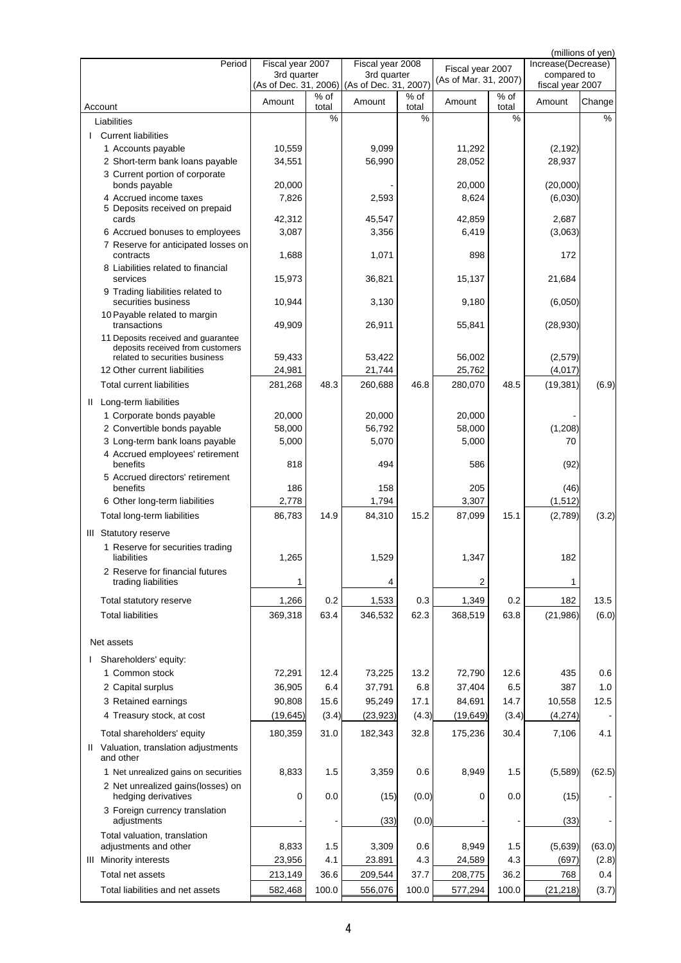|                                                                    |                  |        |                                                            |        |                       |       |                                   | (millions of yen) |
|--------------------------------------------------------------------|------------------|--------|------------------------------------------------------------|--------|-----------------------|-------|-----------------------------------|-------------------|
| Period                                                             | Fiscal year 2007 |        | Fiscal year 2008                                           |        | Fiscal year 2007      |       | Increase(Decrease)<br>compared to |                   |
|                                                                    | 3rd quarter      |        | 3rd quarter<br>(As of Dec. 31, 2006) (As of Dec. 31, 2007) |        | (As of Mar. 31, 2007) |       | fiscal year 2007                  |                   |
|                                                                    | Amount           | $%$ of | Amount                                                     | $%$ of | Amount                | % of  | Amount                            | Change            |
| Account                                                            |                  | total  |                                                            | total  |                       | total |                                   |                   |
| Liabilities                                                        |                  | %      |                                                            | %      |                       | %     |                                   | $\frac{0}{0}$     |
| <b>Current liabilities</b>                                         |                  |        |                                                            |        |                       |       |                                   |                   |
| 1 Accounts payable                                                 | 10,559           |        | 9,099                                                      |        | 11,292                |       | (2, 192)                          |                   |
| 2 Short-term bank loans payable                                    | 34,551           |        | 56,990                                                     |        | 28,052                |       | 28,937                            |                   |
| 3 Current portion of corporate<br>bonds payable                    | 20,000           |        |                                                            |        | 20,000                |       | (20,000)                          |                   |
| 4 Accrued income taxes                                             | 7,826            |        | 2,593                                                      |        | 8,624                 |       | (6,030)                           |                   |
| 5 Deposits received on prepaid                                     |                  |        |                                                            |        |                       |       |                                   |                   |
| cards                                                              | 42,312           |        | 45,547                                                     |        | 42,859                |       | 2,687                             |                   |
| 6 Accrued bonuses to employees                                     | 3,087            |        | 3,356                                                      |        | 6,419                 |       | (3,063)                           |                   |
| 7 Reserve for anticipated losses on<br>contracts                   | 1,688            |        | 1,071                                                      |        | 898                   |       | 172                               |                   |
| 8 Liabilities related to financial                                 |                  |        |                                                            |        |                       |       |                                   |                   |
| services<br>9 Trading liabilities related to                       | 15,973           |        | 36,821                                                     |        | 15,137                |       | 21,684                            |                   |
| securities business                                                | 10,944           |        | 3,130                                                      |        | 9,180                 |       | (6,050)                           |                   |
| 10 Payable related to margin                                       |                  |        |                                                            |        |                       |       |                                   |                   |
| transactions                                                       | 49,909           |        | 26,911                                                     |        | 55,841                |       | (28, 930)                         |                   |
| 11 Deposits received and guarantee                                 |                  |        |                                                            |        |                       |       |                                   |                   |
| deposits received from customers<br>related to securities business | 59,433           |        | 53,422                                                     |        | 56,002                |       | (2,579)                           |                   |
| 12 Other current liabilities                                       | 24,981           |        | 21,744                                                     |        | 25,762                |       | (4,017)                           |                   |
| <b>Total current liabilities</b>                                   | 281,268          | 48.3   | 260,688                                                    | 46.8   | 280,070               | 48.5  | (19, 381)                         | (6.9)             |
| II Long-term liabilities                                           |                  |        |                                                            |        |                       |       |                                   |                   |
| 1 Corporate bonds payable                                          | 20,000           |        | 20,000                                                     |        | 20,000                |       |                                   |                   |
| 2 Convertible bonds payable                                        | 58,000           |        | 56,792                                                     |        | 58,000                |       | (1,208)                           |                   |
| 3 Long-term bank loans payable                                     | 5,000            |        | 5,070                                                      |        | 5,000                 |       | 70                                |                   |
| 4 Accrued employees' retirement                                    |                  |        |                                                            |        |                       |       |                                   |                   |
| benefits                                                           | 818              |        | 494                                                        |        | 586                   |       | (92)                              |                   |
| 5 Accrued directors' retirement                                    |                  |        |                                                            |        |                       |       |                                   |                   |
| benefits                                                           | 186              |        | 158                                                        |        | 205                   |       | (46)                              |                   |
| 6 Other long-term liabilities                                      | 2,778            |        | 1,794                                                      |        | 3,307                 |       | (1, 512)                          |                   |
| Total long-term liabilities                                        | 86,783           | 14.9   | 84,310                                                     | 15.2   | 87,099                | 15.1  | (2,789)                           | (3.2)             |
| III Statutory reserve                                              |                  |        |                                                            |        |                       |       |                                   |                   |
| 1 Reserve for securities trading                                   |                  |        |                                                            |        |                       |       |                                   |                   |
| liabilities                                                        | 1,265            |        | 1,529                                                      |        | 1,347                 |       | 182                               |                   |
| 2 Reserve for financial futures<br>trading liabilities             | 1                |        | 4                                                          |        | 2                     |       | 1                                 |                   |
| Total statutory reserve                                            | 1,266            | 0.2    | 1,533                                                      | 0.3    | 1,349                 | 0.2   | 182                               | 13.5              |
| <b>Total liabilities</b>                                           | 369,318          | 63.4   | 346,532                                                    | 62.3   | 368,519               | 63.8  | (21, 986)                         | (6.0)             |
|                                                                    |                  |        |                                                            |        |                       |       |                                   |                   |
| Net assets                                                         |                  |        |                                                            |        |                       |       |                                   |                   |
| Shareholders' equity:                                              |                  |        |                                                            |        |                       |       |                                   |                   |
| 1 Common stock                                                     | 72,291           | 12.4   | 73,225                                                     | 13.2   | 72,790                | 12.6  | 435                               | 0.6               |
| 2 Capital surplus                                                  | 36,905           | 6.4    | 37,791                                                     | 6.8    | 37,404                | 6.5   | 387                               | 1.0               |
| 3 Retained earnings                                                | 90,808           | 15.6   | 95,249                                                     | 17.1   | 84,691                | 14.7  | 10,558                            | 12.5              |
| 4 Treasury stock, at cost                                          | (19, 645)        | (3.4)  | (23, 923)                                                  | (4.3)  | (19, 649)             | (3.4) | (4,274)                           |                   |
| Total shareholders' equity                                         | 180,359          | 31.0   | 182,343                                                    | 32.8   | 175,236               | 30.4  | 7,106                             | 4.1               |
| II Valuation, translation adjustments<br>and other                 |                  |        |                                                            |        |                       |       |                                   |                   |
| 1 Net unrealized gains on securities                               | 8,833            | 1.5    | 3,359                                                      | 0.6    | 8,949                 | 1.5   | (5,589)                           | (62.5)            |
| 2 Net unrealized gains (losses) on<br>hedging derivatives          | $\mathbf 0$      | 0.0    | (15)                                                       | (0.0)  | 0                     | 0.0   | (15)                              |                   |
| 3 Foreign currency translation<br>adjustments                      |                  |        | (33)                                                       | (0.0)  |                       |       | (33)                              |                   |
| Total valuation, translation                                       |                  |        |                                                            |        |                       |       |                                   |                   |
| adjustments and other                                              | 8,833            | 1.5    | 3,309                                                      | 0.6    | 8,949                 | 1.5   | (5,639)                           | (63.0)            |
| <b>III</b> Minority interests                                      | 23,956           | 4.1    | 23.891                                                     | 4.3    | 24,589                | 4.3   | (697)                             | (2.8)             |
| Total net assets                                                   | 213,149          | 36.6   | 209,544                                                    | 37.7   | 208,775               | 36.2  | 768                               | 0.4               |
| Total liabilities and net assets                                   | 582,468          | 100.0  | 556,076                                                    | 100.0  | 577,294               | 100.0 | (21, 218)                         | (3.7)             |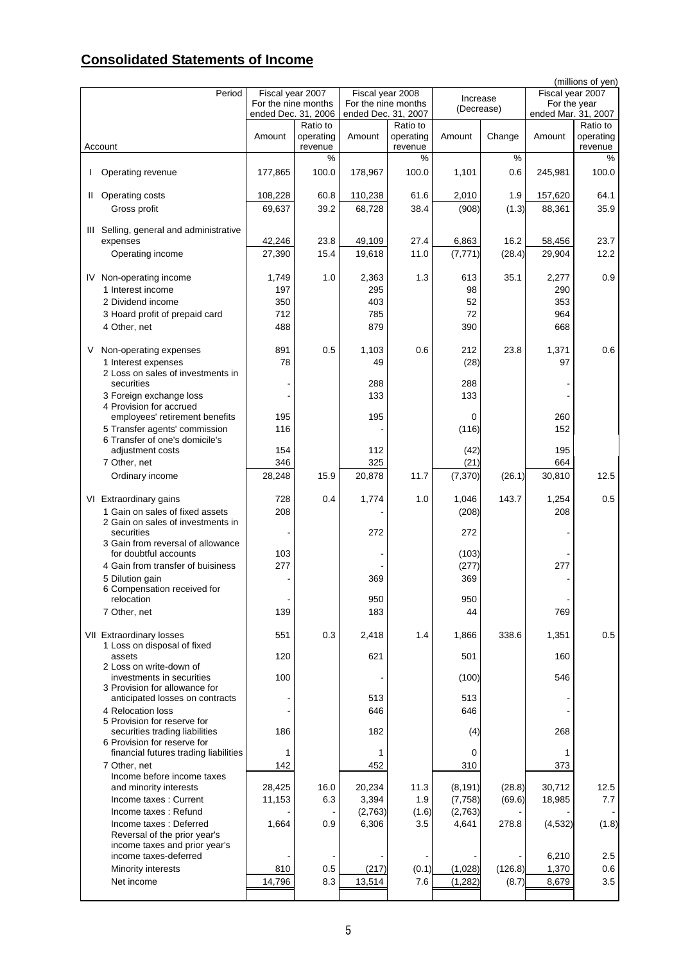# **Consolidated Statements of Income**

|    |                                                                      |                                            |           |                                            |           |            |         | (millions of yen)                   |           |  |
|----|----------------------------------------------------------------------|--------------------------------------------|-----------|--------------------------------------------|-----------|------------|---------|-------------------------------------|-----------|--|
|    | Period                                                               | Fiscal year 2007                           |           | Fiscal year 2008                           |           | Increase   |         | Fiscal year 2007                    |           |  |
|    |                                                                      | For the nine months<br>ended Dec. 31, 2006 |           | For the nine months<br>ended Dec. 31, 2007 |           | (Decrease) |         | For the year<br>ended Mar. 31, 2007 |           |  |
|    |                                                                      |                                            | Ratio to  |                                            | Ratio to  |            |         |                                     | Ratio to  |  |
|    |                                                                      | Amount                                     | operating | Amount                                     | operating | Amount     | Change  | Amount                              | operating |  |
|    | Account                                                              |                                            | revenue   |                                            | revenue   |            |         |                                     | revenue   |  |
|    |                                                                      |                                            | %         |                                            | %         |            | %       |                                     | %         |  |
|    | Operating revenue                                                    | 177,865                                    | 100.0     | 178,967                                    | 100.0     | 1,101      | 0.6     | 245,981                             | 100.0     |  |
| Ш. | Operating costs                                                      | 108,228                                    | 60.8      | 110,238                                    | 61.6      | 2,010      | 1.9     | 157,620                             | 64.1      |  |
|    | Gross profit                                                         | 69,637                                     | 39.2      | 68,728                                     | 38.4      | (908)      | (1.3)   | 88,361                              | 35.9      |  |
|    |                                                                      |                                            |           |                                            |           |            |         |                                     |           |  |
|    | III Selling, general and administrative                              |                                            |           |                                            |           |            |         |                                     |           |  |
|    | expenses                                                             | 42,246                                     | 23.8      | 49,109                                     | 27.4      | 6,863      | 16.2    | 58,456                              | 23.7      |  |
|    | Operating income                                                     | 27,390                                     | 15.4      | 19,618                                     | 11.0      | (7, 771)   | (28.4)  | 29,904                              | 12.2      |  |
|    | IV Non-operating income                                              | 1,749                                      | 1.0       | 2,363                                      | 1.3       | 613        | 35.1    | 2,277                               | 0.9       |  |
|    | 1 Interest income                                                    | 197                                        |           | 295                                        |           | 98         |         | 290                                 |           |  |
|    | 2 Dividend income                                                    | 350                                        |           | 403                                        |           | 52         |         | 353                                 |           |  |
|    | 3 Hoard profit of prepaid card                                       | 712                                        |           | 785                                        |           | 72         |         | 964                                 |           |  |
|    | 4 Other, net                                                         | 488                                        |           | 879                                        |           | 390        |         | 668                                 |           |  |
|    |                                                                      |                                            |           |                                            |           |            |         |                                     |           |  |
| V  | Non-operating expenses                                               | 891                                        | 0.5       | 1,103                                      | 0.6       | 212        | 23.8    | 1,371                               | 0.6       |  |
|    | 1 Interest expenses<br>2 Loss on sales of investments in             | 78                                         |           | 49                                         |           | (28)       |         | 97                                  |           |  |
|    | securities                                                           |                                            |           | 288                                        |           | 288        |         |                                     |           |  |
|    | 3 Foreign exchange loss                                              |                                            |           | 133                                        |           | 133        |         |                                     |           |  |
|    | 4 Provision for accrued                                              |                                            |           |                                            |           |            |         |                                     |           |  |
|    | employees' retirement benefits                                       | 195                                        |           | 195                                        |           | 0          |         | 260                                 |           |  |
|    | 5 Transfer agents' commission<br>6 Transfer of one's domicile's      | 116                                        |           |                                            |           | (116)      |         | 152                                 |           |  |
|    | adjustment costs                                                     | 154                                        |           | 112                                        |           | (42)       |         | 195                                 |           |  |
|    | 7 Other, net                                                         | 346                                        |           | 325                                        |           | (21)       |         | 664                                 |           |  |
|    | Ordinary income                                                      | 28,248                                     | 15.9      | 20,878                                     | 11.7      | (7, 370)   | (26.1)  | 30,810                              | 12.5      |  |
|    |                                                                      |                                            |           |                                            |           |            |         |                                     |           |  |
|    | VI Extraordinary gains                                               | 728                                        | 0.4       | 1,774                                      | 1.0       | 1,046      | 143.7   | 1,254                               | 0.5       |  |
|    | 1 Gain on sales of fixed assets<br>2 Gain on sales of investments in | 208                                        |           |                                            |           | (208)      |         | 208                                 |           |  |
|    | securities                                                           |                                            |           | 272                                        |           | 272        |         |                                     |           |  |
|    | 3 Gain from reversal of allowance                                    |                                            |           |                                            |           |            |         |                                     |           |  |
|    | for doubtful accounts                                                | 103                                        |           |                                            |           | (103)      |         |                                     |           |  |
|    | 4 Gain from transfer of buisiness                                    | 277                                        |           |                                            |           | (277)      |         | 277                                 |           |  |
|    | 5 Dilution gain<br>6 Compensation received for                       |                                            |           | 369                                        |           | 369        |         |                                     |           |  |
|    | relocation                                                           |                                            |           | 950                                        |           | 950        |         |                                     |           |  |
|    | 7 Other, net                                                         | 139                                        |           | 183                                        |           | 44         |         | 769                                 |           |  |
|    |                                                                      |                                            |           |                                            |           |            |         |                                     |           |  |
|    | VII Extraordinary losses                                             | 551                                        | 0.3       | 2,418                                      | 1.4       | 1,866      | 338.6   | 1,351                               | 0.5       |  |
|    | 1 Loss on disposal of fixed<br>assets                                | 120                                        |           | 621                                        |           | 501        |         | 160                                 |           |  |
|    | 2 Loss on write-down of                                              |                                            |           |                                            |           |            |         |                                     |           |  |
|    | investments in securities                                            | 100                                        |           |                                            |           | (100)      |         | 546                                 |           |  |
|    | 3 Provision for allowance for<br>anticipated losses on contracts     |                                            |           | 513                                        |           | 513        |         |                                     |           |  |
|    | 4 Relocation loss                                                    |                                            |           | 646                                        |           | 646        |         |                                     |           |  |
|    | 5 Provision for reserve for                                          |                                            |           |                                            |           |            |         |                                     |           |  |
|    | securities trading liabilities                                       | 186                                        |           | 182                                        |           | (4)        |         | 268                                 |           |  |
|    | 6 Provision for reserve for<br>financial futures trading liabilities | 1                                          |           | 1                                          |           | 0          |         | 1                                   |           |  |
|    | 7 Other, net                                                         | 142                                        |           | 452                                        |           | 310        |         | 373                                 |           |  |
|    | Income before income taxes                                           |                                            |           |                                            |           |            |         |                                     |           |  |
|    | and minority interests                                               | 28,425                                     | 16.0      | 20,234                                     | 11.3      | (8, 191)   | (28.8)  | 30,712                              | 12.5      |  |
|    | Income taxes: Current                                                | 11,153                                     | 6.3       | 3,394                                      | 1.9       | (7, 758)   | (69.6)  | 18,985                              | 7.7       |  |
|    | Income taxes: Refund                                                 |                                            |           | (2,763)                                    | (1.6)     | (2,763)    |         |                                     |           |  |
|    | Income taxes: Deferred<br>Reversal of the prior year's               | 1,664                                      | 0.9       | 6,306                                      | 3.5       | 4,641      | 278.8   | (4, 532)                            | (1.8)     |  |
|    | income taxes and prior year's                                        |                                            |           |                                            |           |            |         |                                     |           |  |
|    | income taxes-deferred                                                |                                            |           |                                            |           |            |         | 6,210                               | 2.5       |  |
|    | Minority interests                                                   | 810                                        | 0.5       | (217)                                      | (0.1)     | (1,028)    | (126.8) | 1,370                               | 0.6       |  |
|    | Net income                                                           | 14,796                                     | 8.3       | 13,514                                     | 7.6       | (1,282)    | (8.7)   | 8,679                               | 3.5       |  |
|    |                                                                      |                                            |           |                                            |           |            |         |                                     |           |  |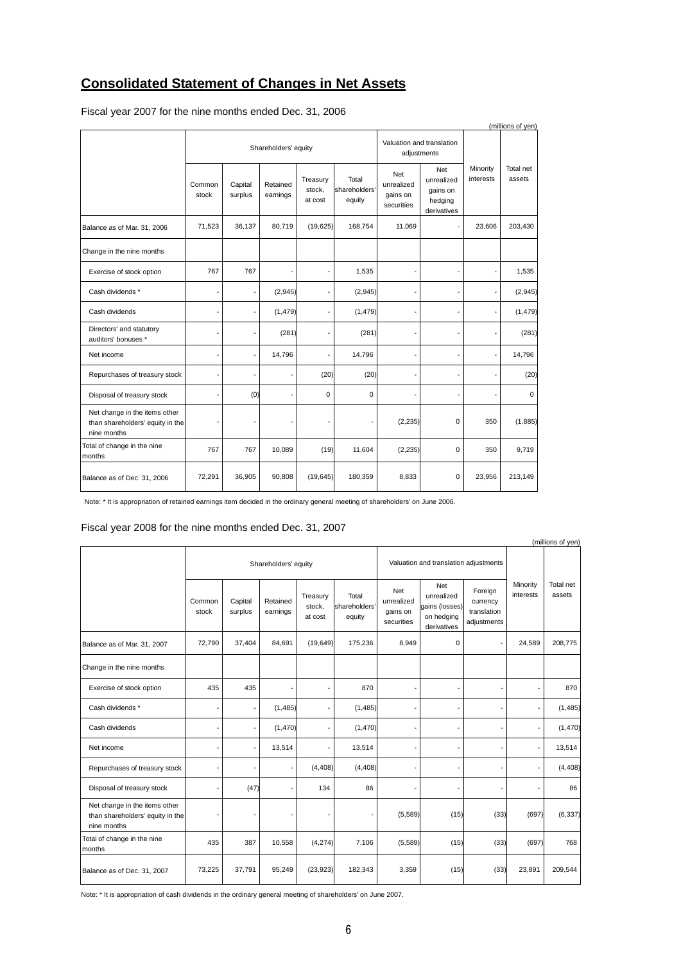### **Consolidated Statement of Changes in Net Assets**

| (millions of yen)                                                                |                 |                    |                      |                               |                                  |                                             |                                                         |                       |                     |  |
|----------------------------------------------------------------------------------|-----------------|--------------------|----------------------|-------------------------------|----------------------------------|---------------------------------------------|---------------------------------------------------------|-----------------------|---------------------|--|
|                                                                                  |                 |                    | Shareholders' equity |                               |                                  |                                             | Valuation and translation<br>adjustments                |                       |                     |  |
|                                                                                  | Common<br>stock | Capital<br>surplus | Retained<br>earnings | Treasury<br>stock,<br>at cost | Total<br>shareholders'<br>equity | Net<br>unrealized<br>gains on<br>securities | Net<br>unrealized<br>gains on<br>hedging<br>derivatives | Minority<br>interests | Total net<br>assets |  |
| Balance as of Mar. 31, 2006                                                      | 71,523          | 36,137             | 80,719               | (19, 625)                     | 168,754                          | 11,069                                      |                                                         | 23,606                | 203,430             |  |
| Change in the nine months                                                        |                 |                    |                      |                               |                                  |                                             |                                                         |                       |                     |  |
| Exercise of stock option                                                         | 767             | 767                | ÷,                   | ä,                            | 1,535                            |                                             |                                                         |                       | 1,535               |  |
| Cash dividends *                                                                 |                 |                    | (2,945)              | ä,                            | (2,945)                          |                                             |                                                         |                       | (2,945)             |  |
| Cash dividends                                                                   |                 | ÷                  | (1, 479)             | ÷,                            | (1, 479)                         |                                             |                                                         |                       | (1, 479)            |  |
| Directors' and statutory<br>auditors' bonuses *                                  |                 |                    | (281)                |                               | (281)                            |                                             |                                                         |                       | (281)               |  |
| Net income                                                                       |                 |                    | 14,796               |                               | 14,796                           |                                             |                                                         |                       | 14,796              |  |
| Repurchases of treasury stock                                                    |                 |                    |                      | (20)                          | (20)                             |                                             |                                                         |                       | (20)                |  |
| Disposal of treasury stock                                                       |                 | (0)                |                      | $\mathbf 0$                   | $\mathbf 0$                      |                                             |                                                         |                       | $\mathbf 0$         |  |
| Net change in the items other<br>than shareholders' equity in the<br>nine months |                 |                    |                      |                               |                                  | (2, 235)                                    | 0                                                       | 350                   | (1,885)             |  |
| Total of change in the nine<br>months                                            | 767             | 767                | 10,089               | (19)                          | 11,604                           | (2, 235)                                    | $\Omega$                                                | 350                   | 9,719               |  |
| Balance as of Dec. 31, 2006                                                      | 72.291          | 36,905             | 90,808               | (19, 645)                     | 180,359                          | 8,833                                       | 0                                                       | 23,956                | 213,149             |  |

Fiscal year 2007 for the nine months ended Dec. 31, 2006

Note: \* It is appropriation of retained earnings item decided in the ordinary general meeting of shareholders' on June 2006.

### Fiscal year 2008 for the nine months ended Dec. 31, 2007

|                                                                                  |                          |                    |                      |                                                                                                                                                                                                                                           |          |                       |                                       |      |                          | (millions of yen) |
|----------------------------------------------------------------------------------|--------------------------|--------------------|----------------------|-------------------------------------------------------------------------------------------------------------------------------------------------------------------------------------------------------------------------------------------|----------|-----------------------|---------------------------------------|------|--------------------------|-------------------|
|                                                                                  |                          |                    | Shareholders' equity |                                                                                                                                                                                                                                           |          |                       | Valuation and translation adjustments |      |                          |                   |
|                                                                                  | Common<br>stock          | Capital<br>surplus | Retained<br>earnings | Net<br>Net<br>Foreign<br>unrealized<br>Treasury<br>Total<br>unrealized<br>currency<br>gains (losses)<br>stock,<br>shareholders'<br>translation<br>gains on<br>on hedging<br>at cost<br>equity<br>securities<br>adjustments<br>derivatives |          | Minority<br>interests | Total net<br>assets                   |      |                          |                   |
| Balance as of Mar. 31, 2007                                                      | 72,790                   | 37,404             | 84,691               | (19, 649)                                                                                                                                                                                                                                 | 175,236  | 8,949                 | $\Omega$                              |      | 24,589                   | 208,775           |
| Change in the nine months                                                        |                          |                    |                      |                                                                                                                                                                                                                                           |          |                       |                                       |      |                          |                   |
| Exercise of stock option                                                         | 435                      | 435                |                      |                                                                                                                                                                                                                                           | 870      |                       |                                       |      | ÷,                       | 870               |
| Cash dividends *                                                                 |                          |                    | (1, 485)             |                                                                                                                                                                                                                                           | (1, 485) |                       | ٠                                     |      | $\frac{1}{2}$            | (1, 485)          |
| Cash dividends                                                                   |                          |                    | (1, 470)             |                                                                                                                                                                                                                                           | (1, 470) |                       |                                       |      | ٠                        | (1, 470)          |
| Net income                                                                       | $\overline{\phantom{a}}$ |                    | 13,514               |                                                                                                                                                                                                                                           | 13,514   |                       |                                       |      | $\frac{1}{2}$            | 13,514            |
| Repurchases of treasury stock                                                    |                          |                    |                      | (4, 408)                                                                                                                                                                                                                                  | (4, 408) |                       |                                       |      | $\overline{\phantom{a}}$ | (4, 408)          |
| Disposal of treasury stock                                                       |                          | (47)               |                      | 134                                                                                                                                                                                                                                       | 86       |                       |                                       |      | ٠                        | 86                |
| Net change in the items other<br>than shareholders' equity in the<br>nine months |                          |                    |                      |                                                                                                                                                                                                                                           |          | (5, 589)              | (15)                                  | (33) | (697)                    | (6, 337)          |
| Total of change in the nine<br>months                                            | 435                      | 387                | 10,558               | (4,274)                                                                                                                                                                                                                                   | 7,106    | (5, 589)              | (15)                                  | (33) | (697)                    | 768               |
| Balance as of Dec. 31, 2007                                                      | 73,225                   | 37,791             | 95,249               | (23, 923)                                                                                                                                                                                                                                 | 182,343  | 3,359                 | (15)                                  | (33) | 23,891                   | 209,544           |

Note: \* It is appropriation of cash dividends in the ordinary general meeting of shareholders' on June 2007.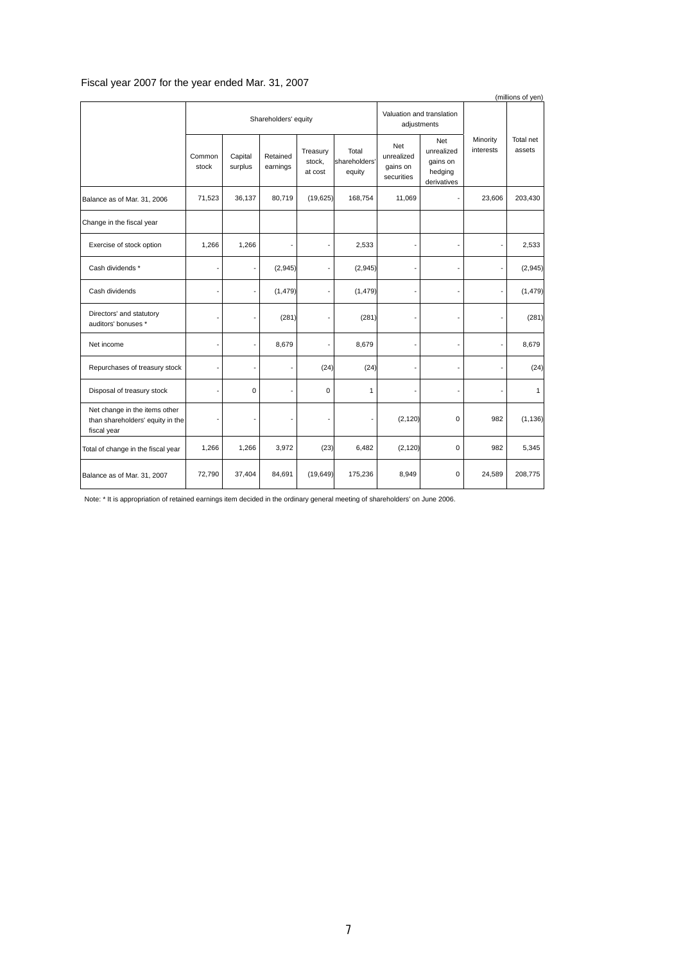### Fiscal year 2007 for the year ended Mar. 31, 2007

|                                                                                  |                          |                    |                      |                               |                                  |                                             |                                                         |                       | (millions of yen)   |
|----------------------------------------------------------------------------------|--------------------------|--------------------|----------------------|-------------------------------|----------------------------------|---------------------------------------------|---------------------------------------------------------|-----------------------|---------------------|
|                                                                                  |                          |                    | Shareholders' equity |                               |                                  |                                             | Valuation and translation<br>adjustments                |                       |                     |
|                                                                                  | Common<br>stock          | Capital<br>surplus | Retained<br>earnings | Treasury<br>stock,<br>at cost | Total<br>shareholders'<br>equity | Net<br>unrealized<br>gains on<br>securities | Net<br>unrealized<br>gains on<br>hedging<br>derivatives | Minority<br>interests | Total net<br>assets |
| Balance as of Mar. 31, 2006                                                      | 71,523                   | 36,137             | 80,719               | (19, 625)                     | 168,754                          | 11,069                                      |                                                         | 23,606                | 203,430             |
| Change in the fiscal year                                                        |                          |                    |                      |                               |                                  |                                             |                                                         |                       |                     |
| Exercise of stock option                                                         | 1,266                    | 1,266              |                      |                               | 2,533                            |                                             |                                                         |                       | 2,533               |
| Cash dividends *                                                                 |                          |                    | (2,945)              |                               | (2, 945)                         |                                             |                                                         |                       | (2, 945)            |
| Cash dividends                                                                   | $\overline{\phantom{a}}$ | ٠                  | (1, 479)             |                               | (1, 479)                         |                                             |                                                         |                       | (1, 479)            |
| Directors' and statutory<br>auditors' bonuses *                                  |                          |                    | (281)                |                               | (281)                            |                                             |                                                         |                       | (281)               |
| Net income                                                                       |                          |                    | 8,679                |                               | 8,679                            |                                             |                                                         |                       | 8,679               |
| Repurchases of treasury stock                                                    |                          |                    |                      | (24)                          | (24)                             |                                             |                                                         |                       | (24)                |
| Disposal of treasury stock                                                       | ٠                        | 0                  |                      | $\mathbf 0$                   | 1                                |                                             |                                                         |                       | $\mathbf{1}$        |
| Net change in the items other<br>than shareholders' equity in the<br>fiscal year |                          |                    |                      |                               |                                  | (2, 120)                                    | $\mathbf 0$                                             | 982                   | (1, 136)            |
| Total of change in the fiscal year                                               | 1,266                    | 1,266              | 3,972                | (23)                          | 6,482                            | (2, 120)                                    | $\mathbf 0$                                             | 982                   | 5,345               |
| Balance as of Mar. 31, 2007                                                      | 72,790                   | 37,404             | 84,691               | (19, 649)                     | 175,236                          | 8,949                                       | $\mathbf 0$                                             | 24,589                | 208,775             |

Note: \* It is appropriation of retained earnings item decided in the ordinary general meeting of shareholders' on June 2006.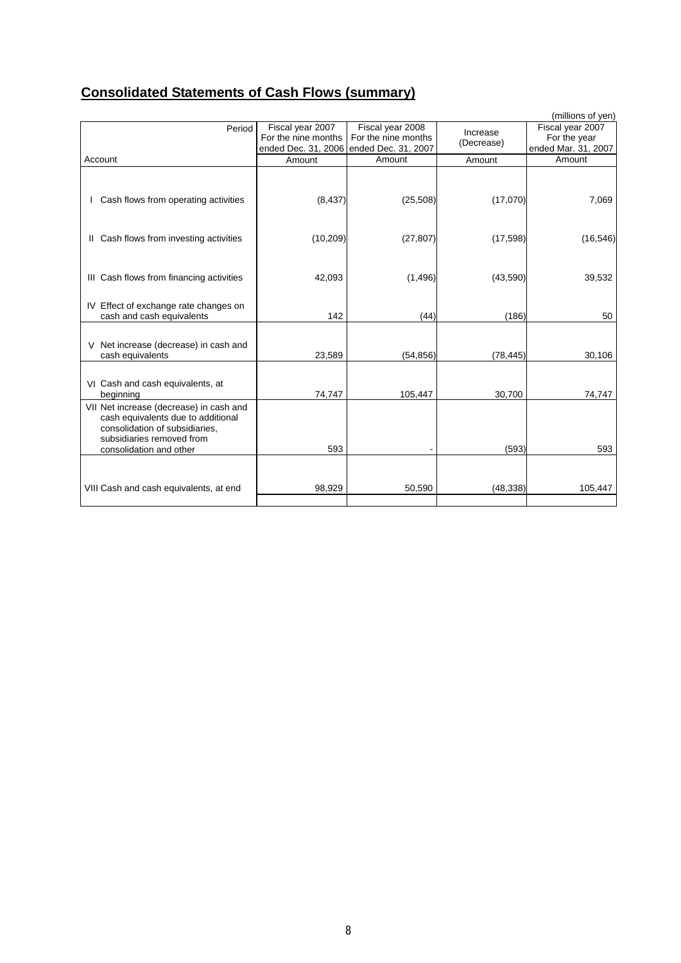# **Consolidated Statements of Cash Flows (summary)**

|                                            |                     |                     |            | (millions of yen)   |
|--------------------------------------------|---------------------|---------------------|------------|---------------------|
| Period                                     | Fiscal year 2007    | Fiscal year 2008    | Increase   | Fiscal year 2007    |
|                                            | For the nine months | For the nine months | (Decrease) | For the year        |
|                                            | ended Dec. 31, 2006 | ended Dec. 31, 2007 |            | ended Mar. 31, 2007 |
| Account                                    | Amount              | Amount              | Amount     | Amount              |
|                                            |                     |                     |            |                     |
|                                            |                     |                     |            |                     |
| Cash flows from operating activities       | (8, 437)            | (25,508)            | (17,070)   | 7,069               |
|                                            |                     |                     |            |                     |
|                                            |                     |                     |            |                     |
| Cash flows from investing activities<br>H. | (10, 209)           | (27, 807)           | (17, 598)  | (16, 546)           |
|                                            |                     |                     |            |                     |
|                                            |                     |                     |            |                     |
| III Cash flows from financing activities   | 42,093              | (1, 496)            | (43,590)   | 39,532              |
|                                            |                     |                     |            |                     |
| IV Effect of exchange rate changes on      |                     |                     |            |                     |
| cash and cash equivalents                  | 142                 | (44)                | (186)      | 50                  |
|                                            |                     |                     |            |                     |
| V Net increase (decrease) in cash and      |                     |                     |            |                     |
| cash equivalents                           | 23,589              | (54, 856)           | (78, 445)  | 30,106              |
|                                            |                     |                     |            |                     |
| VI Cash and cash equivalents, at           |                     |                     |            |                     |
| beginning                                  | 74,747              | 105,447             | 30,700     | 74,747              |
| VII Net increase (decrease) in cash and    |                     |                     |            |                     |
| cash equivalents due to additional         |                     |                     |            |                     |
| consolidation of subsidiaries,             |                     |                     |            |                     |
| subsidiaries removed from                  |                     |                     |            |                     |
| consolidation and other                    | 593                 |                     | (593)      | 593                 |
|                                            |                     |                     |            |                     |
|                                            |                     |                     |            |                     |
| VIII Cash and cash equivalents, at end     | 98,929              | 50,590              | (48, 338)  | 105,447             |
|                                            |                     |                     |            |                     |